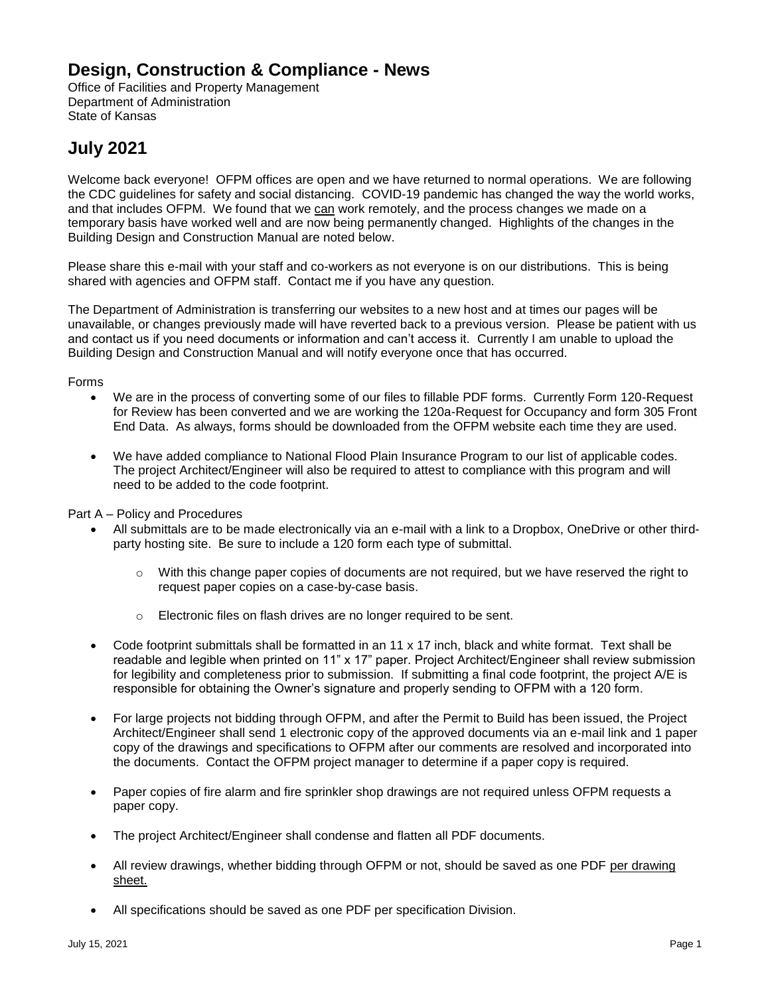## **Design, Construction & Compliance - News**

Office of Facilities and Property Management Department of Administration State of Kansas

## **July 2021**

Welcome back everyone! OFPM offices are open and we have returned to normal operations. We are following the CDC guidelines for safety and social distancing. COVID-19 pandemic has changed the way the world works, and that includes OFPM. We found that we can work remotely, and the process changes we made on a temporary basis have worked well and are now being permanently changed. Highlights of the changes in the Building Design and Construction Manual are noted below.

Please share this e-mail with your staff and co-workers as not everyone is on our distributions. This is being shared with agencies and OFPM staff. Contact me if you have any question.

The Department of Administration is transferring our websites to a new host and at times our pages will be unavailable, or changes previously made will have reverted back to a previous version. Please be patient with us and contact us if you need documents or information and can't access it. Currently I am unable to upload the Building Design and Construction Manual and will notify everyone once that has occurred.

## Forms

- We are in the process of converting some of our files to fillable PDF forms. Currently Form 120-Request for Review has been converted and we are working the 120a-Request for Occupancy and form 305 Front End Data. As always, forms should be downloaded from the OFPM website each time they are used.
- We have added compliance to National Flood Plain Insurance Program to our list of applicable codes. The project Architect/Engineer will also be required to attest to compliance with this program and will need to be added to the code footprint.

Part A – Policy and Procedures

- All submittals are to be made electronically via an e-mail with a link to a Dropbox, OneDrive or other thirdparty hosting site. Be sure to include a 120 form each type of submittal.
	- $\circ$  With this change paper copies of documents are not required, but we have reserved the right to request paper copies on a case-by-case basis.
	- o Electronic files on flash drives are no longer required to be sent.
- Code footprint submittals shall be formatted in an 11 x 17 inch, black and white format. Text shall be readable and legible when printed on 11" x 17" paper. Project Architect/Engineer shall review submission for legibility and completeness prior to submission. If submitting a final code footprint, the project A/E is responsible for obtaining the Owner's signature and properly sending to OFPM with a 120 form.
- For large projects not bidding through OFPM, and after the Permit to Build has been issued, the Project Architect/Engineer shall send 1 electronic copy of the approved documents via an e-mail link and 1 paper copy of the drawings and specifications to OFPM after our comments are resolved and incorporated into the documents. Contact the OFPM project manager to determine if a paper copy is required.
- Paper copies of fire alarm and fire sprinkler shop drawings are not required unless OFPM requests a paper copy.
- The project Architect/Engineer shall condense and flatten all PDF documents.
- All review drawings, whether bidding through OFPM or not, should be saved as one PDF per drawing sheet.
- All specifications should be saved as one PDF per specification Division.